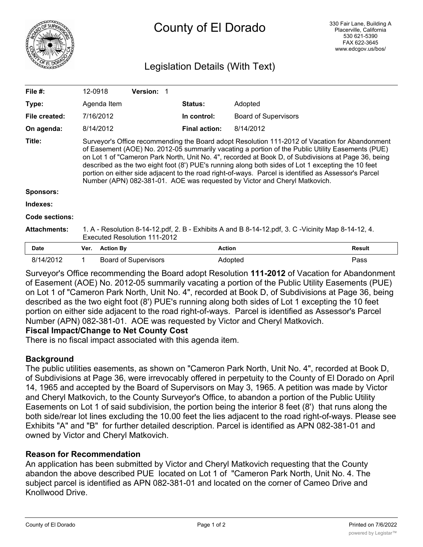

# Legislation Details (With Text)

| File $#$ :          | 12-0918                                                                                                                                                                                                                                                                                                                                                                                                                                                                                                                                                                                               |                  | <b>Version: 1</b>           |  |                      |                             |               |
|---------------------|-------------------------------------------------------------------------------------------------------------------------------------------------------------------------------------------------------------------------------------------------------------------------------------------------------------------------------------------------------------------------------------------------------------------------------------------------------------------------------------------------------------------------------------------------------------------------------------------------------|------------------|-----------------------------|--|----------------------|-----------------------------|---------------|
| Type:               |                                                                                                                                                                                                                                                                                                                                                                                                                                                                                                                                                                                                       | Agenda Item      |                             |  | <b>Status:</b>       | Adopted                     |               |
| File created:       | 7/16/2012                                                                                                                                                                                                                                                                                                                                                                                                                                                                                                                                                                                             |                  |                             |  | In control:          | <b>Board of Supervisors</b> |               |
| On agenda:          | 8/14/2012                                                                                                                                                                                                                                                                                                                                                                                                                                                                                                                                                                                             |                  |                             |  | <b>Final action:</b> | 8/14/2012                   |               |
| Title:              | Surveyor's Office recommending the Board adopt Resolution 111-2012 of Vacation for Abandonment<br>of Easement (AOE) No. 2012-05 summarily vacating a portion of the Public Utility Easements (PUE)<br>on Lot 1 of "Cameron Park North, Unit No. 4", recorded at Book D, of Subdivisions at Page 36, being<br>described as the two eight foot (8') PUE's running along both sides of Lot 1 excepting the 10 feet<br>portion on either side adjacent to the road right-of-ways. Parcel is identified as Assessor's Parcel<br>Number (APN) 082-381-01. AOE was requested by Victor and Cheryl Matkovich. |                  |                             |  |                      |                             |               |
| <b>Sponsors:</b>    |                                                                                                                                                                                                                                                                                                                                                                                                                                                                                                                                                                                                       |                  |                             |  |                      |                             |               |
| Indexes:            |                                                                                                                                                                                                                                                                                                                                                                                                                                                                                                                                                                                                       |                  |                             |  |                      |                             |               |
| Code sections:      |                                                                                                                                                                                                                                                                                                                                                                                                                                                                                                                                                                                                       |                  |                             |  |                      |                             |               |
| <b>Attachments:</b> | 1. A - Resolution 8-14-12.pdf, 2. B - Exhibits A and B 8-14-12.pdf, 3. C -Vicinity Map 8-14-12, 4.<br>Executed Resolution 111-2012                                                                                                                                                                                                                                                                                                                                                                                                                                                                    |                  |                             |  |                      |                             |               |
| <b>Date</b>         | Ver.                                                                                                                                                                                                                                                                                                                                                                                                                                                                                                                                                                                                  | <b>Action By</b> |                             |  | <b>Action</b>        |                             | <b>Result</b> |
| 8/14/2012           | $\mathbf 1$                                                                                                                                                                                                                                                                                                                                                                                                                                                                                                                                                                                           |                  | <b>Board of Supervisors</b> |  | Adopted              |                             | Pass          |

Surveyor's Office recommending the Board adopt Resolution **111-2012** of Vacation for Abandonment of Easement (AOE) No. 2012-05 summarily vacating a portion of the Public Utility Easements (PUE) on Lot 1 of "Cameron Park North, Unit No. 4", recorded at Book D, of Subdivisions at Page 36, being described as the two eight foot (8') PUE's running along both sides of Lot 1 excepting the 10 feet portion on either side adjacent to the road right-of-ways. Parcel is identified as Assessor's Parcel Number (APN) 082-381-01. AOE was requested by Victor and Cheryl Matkovich.

#### **Fiscal Impact/Change to Net County Cost**

There is no fiscal impact associated with this agenda item.

## **Background**

The public utilities easements, as shown on "Cameron Park North, Unit No. 4", recorded at Book D, of Subdivisions at Page 36, were irrevocably offered in perpetuity to the County of El Dorado on April 14, 1965 and accepted by the Board of Supervisors on May 3, 1965. A petition was made by Victor and Cheryl Matkovich, to the County Surveyor's Office, to abandon a portion of the Public Utility Easements on Lot 1 of said subdivision, the portion being the interior 8 feet (8') that runs along the both side/rear lot lines excluding the 10.00 feet the lies adjacent to the road right-of-ways. Please see Exhibits "A" and "B" for further detailed description. Parcel is identified as APN 082-381-01 and owned by Victor and Cheryl Matkovich.

## **Reason for Recommendation**

An application has been submitted by Victor and Cheryl Matkovich requesting that the County abandon the above described PUE located on Lot 1 of "Cameron Park North, Unit No. 4. The subject parcel is identified as APN 082-381-01 and located on the corner of Cameo Drive and Knollwood Drive.